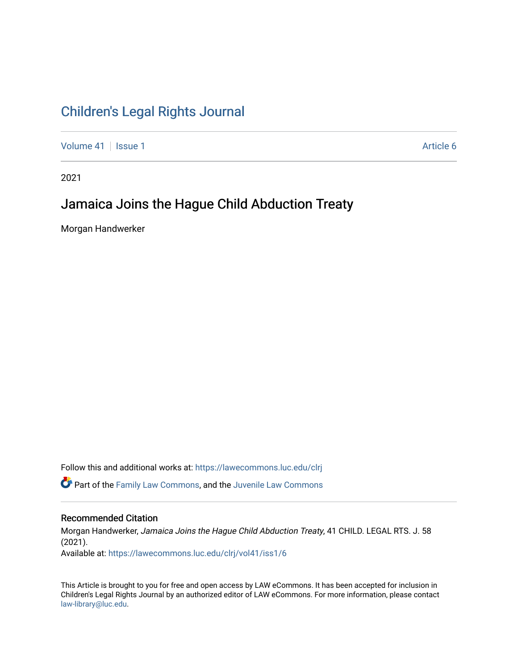# [Children's Legal Rights Journal](https://lawecommons.luc.edu/clrj)

[Volume 41](https://lawecommons.luc.edu/clrj/vol41) | [Issue 1](https://lawecommons.luc.edu/clrj/vol41/iss1) Article 6

2021

# Jamaica Joins the Hague Child Abduction Treaty

Morgan Handwerker

Follow this and additional works at: [https://lawecommons.luc.edu/clrj](https://lawecommons.luc.edu/clrj?utm_source=lawecommons.luc.edu%2Fclrj%2Fvol41%2Fiss1%2F6&utm_medium=PDF&utm_campaign=PDFCoverPages)

**C** Part of the [Family Law Commons,](http://network.bepress.com/hgg/discipline/602?utm_source=lawecommons.luc.edu%2Fclrj%2Fvol41%2Fiss1%2F6&utm_medium=PDF&utm_campaign=PDFCoverPages) and the Juvenile Law Commons

#### Recommended Citation

Morgan Handwerker, Jamaica Joins the Hague Child Abduction Treaty, 41 CHILD. LEGAL RTS. J. 58 (2021). Available at: [https://lawecommons.luc.edu/clrj/vol41/iss1/6](https://lawecommons.luc.edu/clrj/vol41/iss1/6?utm_source=lawecommons.luc.edu%2Fclrj%2Fvol41%2Fiss1%2F6&utm_medium=PDF&utm_campaign=PDFCoverPages) 

This Article is brought to you for free and open access by LAW eCommons. It has been accepted for inclusion in Children's Legal Rights Journal by an authorized editor of LAW eCommons. For more information, please contact [law-library@luc.edu](mailto:law-library@luc.edu).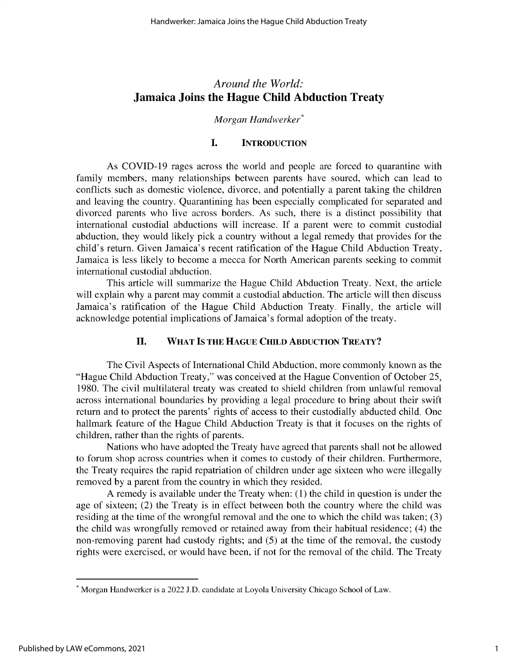## *Around the World:* **Jamaica Joins the Hague Child Abduction Treaty**

### *Morgan Handwerker\**

## **I. INTRODUCTION**

As COVID-19 rages across the world and people are forced to quarantine with family members, many relationships between parents have soured, which can lead to conflicts such as domestic violence, divorce, and potentially a parent taking the children and leaving the country. Quarantining has been especially complicated for separated and divorced parents who live across borders. As such, there is a distinct possibility that international custodial abductions will increase. If a parent were to commit custodial abduction, they would likely pick a country without a legal remedy that provides for the child's return. Given Jamaica's recent ratification of the Hague Child Abduction Treaty, Jamaica is less likely to become a mecca for North American parents seeking to commit international custodial abduction.

This article will summarize the Hague Child Abduction Treaty. Next, the article will explain why a parent may commit a custodial abduction. The article will then discuss Jamaica's ratification of the Hague Child Abduction Treaty. Finally, the article will acknowledge potential implications of Jamaica's formal adoption of the treaty.

## **II. WHAT IS THE HAGUE CHILD ABDUCTION TREATY?**

The Civil Aspects of International Child Abduction, more commonly known as the "Hague Child Abduction Treaty," was conceived at the Hague Convention of October 25, 1980. The civil multilateral treaty was created to shield children from unlawful removal across international boundaries by providing a legal procedure to bring about their swift return and to protect the parents' rights of access to their custodially abducted child. One hallmark feature of the Hague Child Abduction Treaty is that it focuses on the rights of children, rather than the rights of parents.

Nations who have adopted the Treaty have agreed that parents shall not be allowed to forum shop across countries when it comes to custody of their children. Furthermore, the Treaty requires the rapid repatriation of children under age sixteen who were illegally removed by a parent from the country in which they resided.

A remedy is available under the Treaty when: (1) the child in question is under the age of sixteen; (2) the Treaty is in effect between both the country where the child was residing at the time of the wrongful removal and the one to which the child was taken; (3) the child was wrongfully removed or retained away from their habitual residence; (4) the non-removing parent had custody rights; and *(5)* at the time of the removal, the custody rights were exercised, or would have been, if not for the removal of the child. The Treaty

<sup>\*</sup> Morgan Handwerker is a 2022 **J.D.** candidate at Loyola University Chicago School of Law.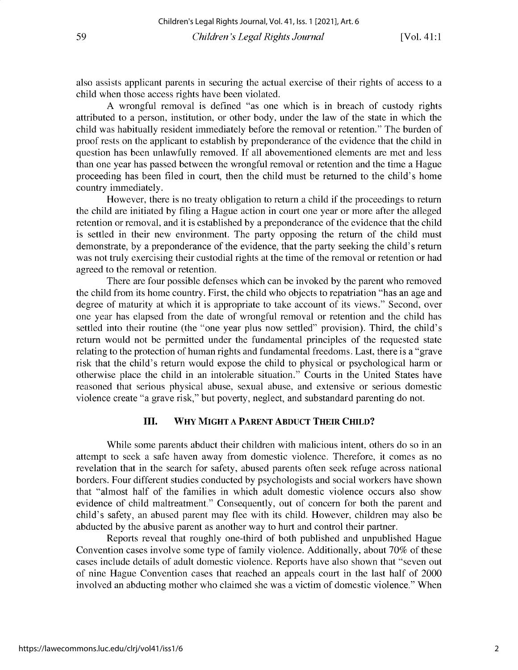**also assists applicant parents in securing the actual exercise of their rights of access to a** child when those access rights have been violated.

A wrongful removal is defined "as one which is in breach of custody rights **attributed to a person, institution, or other body, under the law of the state in which the child was habitually resident immediately before the removal or retention." The burden of** proof rests on the applicant to establish by preponderance of the evidence that the child in **question has been unlawfully removed. If all abovementioned elements are met and less than one year has passed between the wrongful removal or retention and the time a Hague proceeding has been filed in court, then the child must be returned to the child's home** country immediately.

However, there is no treaty obligation to return a child if the proceedings to return **the child are initiated by filing a Hague action in court one year or more after the alleged retention or removal, and it is established by a preponderance of the evidence that the child is settled in their new environment. The party opposing the return of the child must demonstrate, by a preponderance of the evidence, that the party seeking the child's return** was not truly exercising their custodial rights at the time of the removal or retention or had **agreed to the removal or retention.**

There are four possible defenses which can be invoked by the parent who removed **the child from its home country. First, the child who objects to repatriation "has an age and** degree of maturity at which it is appropriate to take account of its views." Second, over one year has elapsed from the date of wrongful removal or retention and the child has **settled into their routine (the "one year plus now settled" provision). Third, the child's return would not be permitted under the fundamental principles of the requested state relating to the protection of human rights and fundamental freedoms. Last, there is a "grave** risk that the child's return would expose the child to physical or psychological harm or otherwise place the child in an intolerable situation." Courts in the United States have **reasoned that serious physical abuse, sexual abuse, and extensive or serious domestic violence create "a grave risk," but poverty, neglect, and substandard parenting do not.**

#### **III. WHY MIGHT A PARENT ABDUCT THEIR CHILD?**

**While some parents abduct their children with malicious intent, others do so in an** attempt to seek a safe haven away from domestic violence. Therefore, it comes as no revelation that in the search for safety, abused parents often seek refuge across national borders. Four different studies conducted by psychologists and social workers have shown **that "almost half of the families in which adult domestic violence occurs also show evidence of child maltreatment." Consequently, out of concern for both the parent and** child's safety, an abused parent may flee with its child. However, children may also be abducted by the abusive parent as another way to hurt and control their partner.

**Reports reveal that roughly one-third of both published and unpublished Hague** Convention cases involve some type of family violence. Additionally, about 70% of these cases include details of adult domestic violence. Reports have also shown that "seven out **of nine Hague Convention cases that reached an appeals court in the last half of 2000** involved an abducting mother who claimed she was a victim of domestic violence." When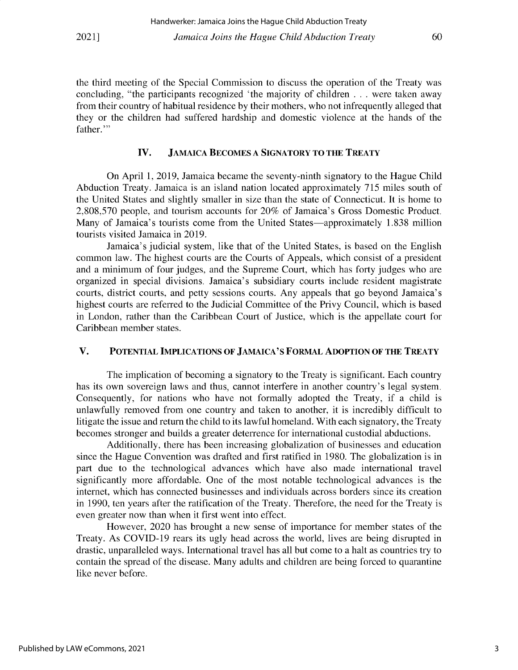the third meeting of the Special Commission to discuss the operation of the Treaty was concluding, "the participants recognized 'the majority of children . . . were taken away from their country of habitual residence by their mothers, who not infrequently alleged that they or the children had suffered hardship and domestic violence at the hands of the father."

### **IV. JAMAICA BECOMES A SIGNATORY TO THE TREATY**

On April **1,** 2019, Jamaica became the seventy-ninth signatory to the Hague Child Abduction Treaty. Jamaica is an island nation located approximately 715 miles south of the United States and slightly smaller in size than the state of Connecticut. It is home to 2,808,570 people, and tourism accounts for 20% of Jamaica's Gross Domestic Product. Many of Jamaica's tourists come from the United States—approximately 1.838 million tourists visited Jamaica in 2019.

Jamaica's judicial system, like that of the United States, is based on the English common law. The highest courts are the Courts of Appeals, which consist of a president and a minimum of four judges, and the Supreme Court, which has forty judges who are organized in special divisions. Jamaica's subsidiary courts include resident magistrate courts, district courts, and petty sessions courts. Any appeals that go beyond Jamaica's highest courts are referred to the Judicial Committee of the Privy Council, which is based in London, rather than the Caribbean Court of Justice, which is the appellate court for Caribbean member states.

#### **V. POTENTIAL IMPLICATIONS OF JAMAICA'S FORMAL ADOPTION OF THE TREATY**

The implication of becoming a signatory to the Treaty is significant. Each country has its own sovereign laws and thus, cannot interfere in another country's **legal** system. Consequently, for nations who have not formally adopted the Treaty, if a child is unlawfully removed from one country and taken to another, it is incredibly difficult to litigate the issue and return the child to its lawful homeland. With each signatory, the Treaty becomes stronger and builds a greater deterrence for international custodial abductions.

Additionally, there has been increasing globalization of businesses and education since the Hague Convention was drafted and first ratified in 1980. The globalization is in part due to the technological advances which have also made international travel significantly more affordable. One of the most notable technological advances is the internet, which has connected businesses and individuals across borders since its creation in 1990, ten years after the ratification of the Treaty. Therefore, the need for the Treaty is even greater now than when it first went into effect.

However, 2020 has brought a new sense of importance for member states of the Treaty. As COVID-19 rears its ugly head across the world, lives are being disrupted in drastic, unparalleled ways. International travel has all but come to a halt as countries try to contain the spread of the disease. Many adults and children are being forced to quarantine like never before.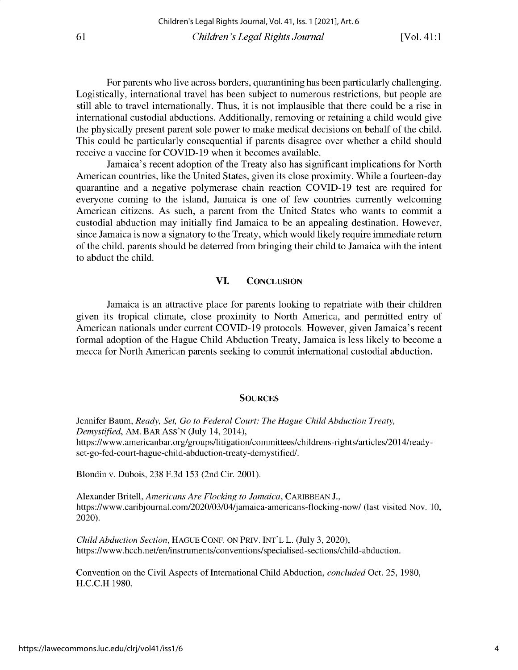**For parents who live across borders, quarantining has been particularly challenging. Logistically, international travel has been subject to numerous restrictions, but people are still able to travel internationally. Thus, it is not implausible that there could be a rise in international custodial abductions. Additionally, removing or retaining a child would give** the physically present parent sole power to make medical decisions on behalf of the child. **This could be particularly consequential if parents disagree over whether a child should** receive a vaccine for COVID-19 when it becomes available.

**Jamaica's recent adoption of the Treaty also has significant implications for North** American countries, like the United States, given its close proximity. While a fourteen-day **quarantine and a negative polymerase chain reaction COVID-19 test are required for everyone coming to the island, Jamaica is one of few countries currently welcoming** American citizens. As such, a parent from the United States who wants to commit a **custodial abduction may initially find Jamaica to be an appealing destination. However, since Jamaica is now a signatory to the Treaty, which would likely require immediate return of the child, parents should be deterred from bringing their child to Jamaica with the intent** to abduct the child.

### **VI. CONCLUSION**

**Jamaica is an attractive place for parents looking to repatriate with their children** given its tropical climate, close proximity to North America, and permitted entry of **American nationals under current COVID-19 protocols. However, given Jamaica's recent** formal adoption of the Hague Child Abduction Treaty, Jamaica is less likely to become a **mecca for North American parents seeking to commit international custodial abduction.**

#### **SOURCES**

Jennifer **Baum,** *Ready, Set, Go to Federal Court: The Hague Child Abduction Treaty, Demystified,* AM. BAR ASS'N (July 14, 2014), **https://www. americanbar.org/groups/litigation/committees/childrens-rights/articles/2014/readyset-go-fed-court-hague-child-abduction-treaty-demystified/.**

**Blondin v. Dubois,** 238 F.3d *153* (2nd Cir. 2001).

Alexander **Britell,** *Americans Are Flocking to Jamaica,* CARIBBEAN J., **https://www.caribjournal.com/2020/03/04/jamaica-americans-flocking-now/ (last visited Nov. 10,** 2020).

*Child Abduction Section,* HAGUE CONF. ON PRIV. INT'L L. (July 3, 2020), **https://www.hcch.net/en/instruments/conventions/specialised-sections/child-abduction.**

Convention on the Civil Aspects of **International** Child Abduction, *concluded* Oct. *25,* 1980, H.C.C.H 1980.